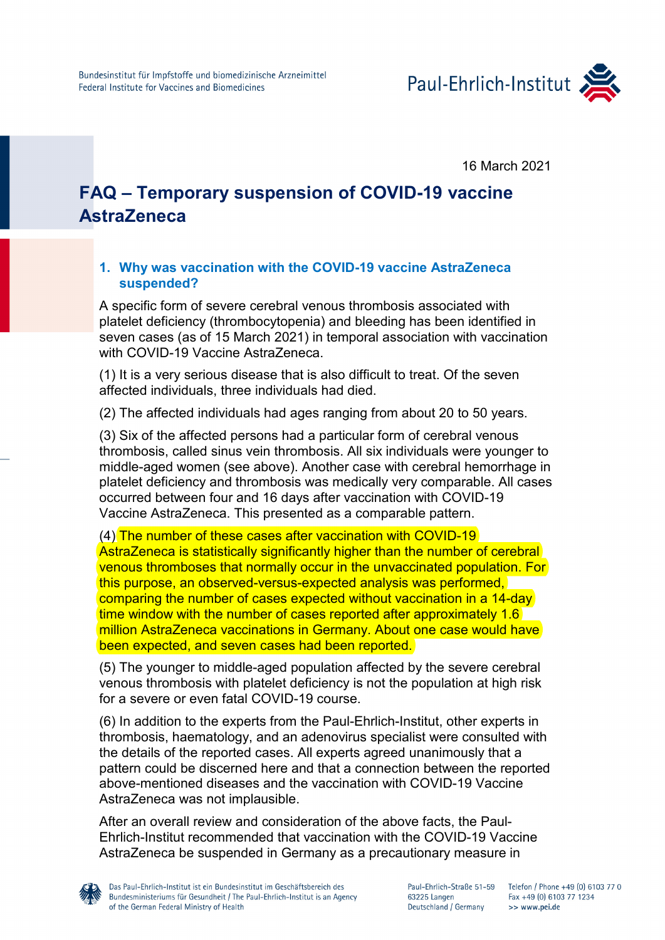

16 March 2021

# **FAQ – Temporary suspension of COVID-19 vaccine AstraZeneca**

## **1. Why was vaccination with the COVID-19 vaccine AstraZeneca suspended?**

A specific form of severe cerebral venous thrombosis associated with platelet deficiency (thrombocytopenia) and bleeding has been identified in seven cases (as of 15 March 2021) in temporal association with vaccination with COVID-19 Vaccine AstraZeneca

(1) It is a very serious disease that is also difficult to treat. Of the seven affected individuals, three individuals had died.

(2) The affected individuals had ages ranging from about 20 to 50 years.

(3) Six of the affected persons had a particular form of cerebral venous thrombosis, called sinus vein thrombosis. All six individuals were younger to middle-aged women (see above). Another case with cerebral hemorrhage in platelet deficiency and thrombosis was medically very comparable. All cases occurred between four and 16 days after vaccination with COVID-19 Vaccine AstraZeneca. This presented as a comparable pattern.

(4) The number of these cases after vaccination with COVID-19 AstraZeneca is statistically significantly higher than the number of cerebral venous thromboses that normally occur in the unvaccinated population. For this purpose, an observed-versus-expected analysis was performed, comparing the number of cases expected without vaccination in a 14-day time window with the number of cases reported after approximately 1.6 million AstraZeneca vaccinations in Germany. About one case would have been expected, and seven cases had been reported.

(5) The younger to middle-aged population affected by the severe cerebral venous thrombosis with platelet deficiency is not the population at high risk for a severe or even fatal COVID-19 course.

(6) In addition to the experts from the Paul-Ehrlich-Institut, other experts in thrombosis, haematology, and an adenovirus specialist were consulted with the details of the reported cases. All experts agreed unanimously that a pattern could be discerned here and that a connection between the reported above-mentioned diseases and the vaccination with COVID-19 Vaccine AstraZeneca was not implausible.

After an overall review and consideration of the above facts, the Paul-Ehrlich-Institut recommended that vaccination with the COVID-19 Vaccine AstraZeneca be suspended in Germany as a precautionary measure in

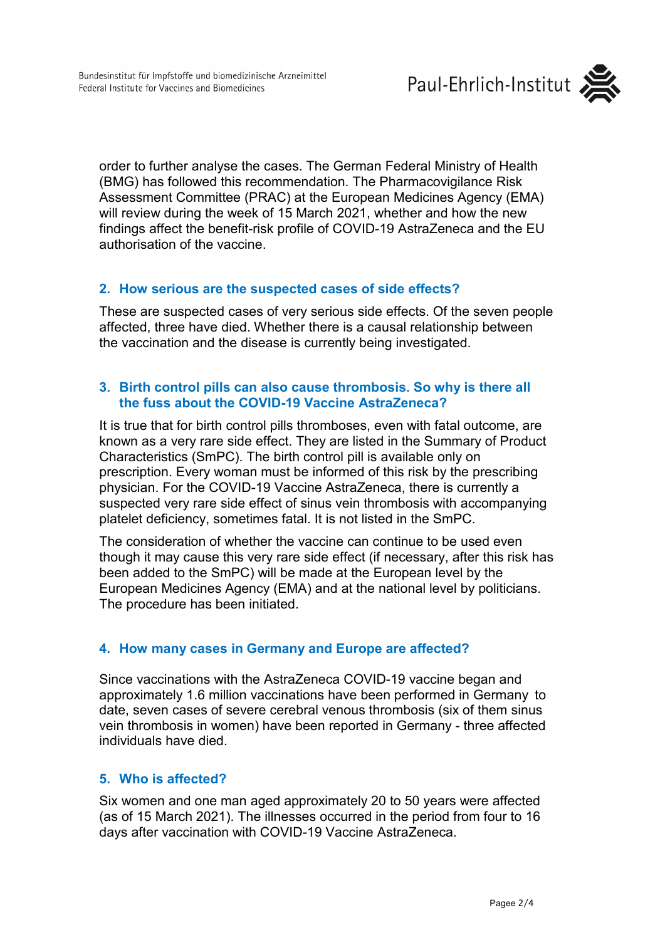

order to further analyse the cases. The German Federal Ministry of Health (BMG) has followed this recommendation. The Pharmacovigilance Risk Assessment Committee (PRAC) at the European Medicines Agency (EMA) will review during the week of 15 March 2021, whether and how the new findings affect the benefit-risk profile of COVID-19 AstraZeneca and the EU authorisation of the vaccine.

## **2. How serious are the suspected cases of side effects?**

These are suspected cases of very serious side effects. Of the seven people affected, three have died. Whether there is a causal relationship between the vaccination and the disease is currently being investigated.

# **3. Birth control pills can also cause thrombosis. So why is there all the fuss about the COVID-19 Vaccine AstraZeneca?**

It is true that for birth control pills thromboses, even with fatal outcome, are known as a very rare side effect. They are listed in the Summary of Product Characteristics (SmPC). The birth control pill is available only on prescription. Every woman must be informed of this risk by the prescribing physician. For the COVID-19 Vaccine AstraZeneca, there is currently a suspected very rare side effect of sinus vein thrombosis with accompanying platelet deficiency, sometimes fatal. It is not listed in the SmPC.

The consideration of whether the vaccine can continue to be used even though it may cause this very rare side effect (if necessary, after this risk has been added to the SmPC) will be made at the European level by the European Medicines Agency (EMA) and at the national level by politicians. The procedure has been initiated.

# **4. How many cases in Germany and Europe are affected?**

Since vaccinations with the AstraZeneca COVID-19 vaccine began and approximately 1.6 million vaccinations have been performed in Germany to date, seven cases of severe cerebral venous thrombosis (six of them sinus vein thrombosis in women) have been reported in Germany - three affected individuals have died.

## **5. Who is affected?**

Six women and one man aged approximately 20 to 50 years were affected (as of 15 March 2021). The illnesses occurred in the period from four to 16 days after vaccination with COVID-19 Vaccine AstraZeneca.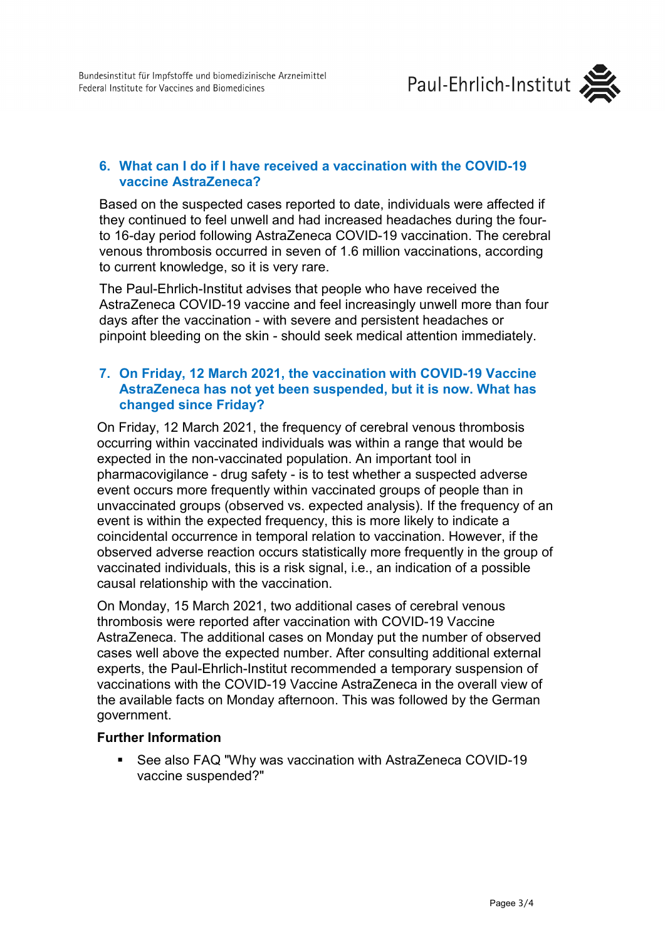

# **6. What can I do if I have received a vaccination with the COVID-19 vaccine AstraZeneca?**

Based on the suspected cases reported to date, individuals were affected if they continued to feel unwell and had increased headaches during the fourto 16-day period following AstraZeneca COVID-19 vaccination. The cerebral venous thrombosis occurred in seven of 1.6 million vaccinations, according to current knowledge, so it is very rare.

The Paul-Ehrlich-Institut advises that people who have received the AstraZeneca COVID-19 vaccine and feel increasingly unwell more than four days after the vaccination - with severe and persistent headaches or pinpoint bleeding on the skin - should seek medical attention immediately.

## **7. On Friday, 12 March 2021, the vaccination with COVID-19 Vaccine AstraZeneca has not yet been suspended, but it is now. What has changed since Friday?**

On Friday, 12 March 2021, the frequency of cerebral venous thrombosis occurring within vaccinated individuals was within a range that would be expected in the non-vaccinated population. An important tool in pharmacovigilance - drug safety - is to test whether a suspected adverse event occurs more frequently within vaccinated groups of people than in unvaccinated groups (observed vs. expected analysis). If the frequency of an event is within the expected frequency, this is more likely to indicate a coincidental occurrence in temporal relation to vaccination. However, if the observed adverse reaction occurs statistically more frequently in the group of vaccinated individuals, this is a risk signal, i.e., an indication of a possible causal relationship with the vaccination.

On Monday, 15 March 2021, two additional cases of cerebral venous thrombosis were reported after vaccination with COVID-19 Vaccine AstraZeneca. The additional cases on Monday put the number of observed cases well above the expected number. After consulting additional external experts, the Paul-Ehrlich-Institut recommended a temporary suspension of vaccinations with the COVID-19 Vaccine AstraZeneca in the overall view of the available facts on Monday afternoon. This was followed by the German government.

## **Further Information**

 See also FAQ "Why was vaccination with AstraZeneca COVID-19 vaccine suspended?"